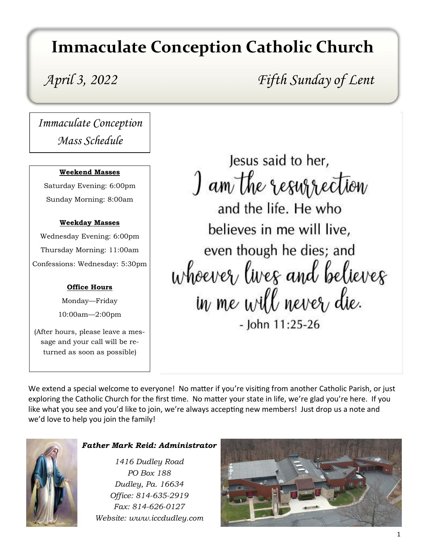# **Immaculate Conception Catholic Church**

*April 3, 2022 Fifth Sunday of Lent*

*Immaculate Conception Mass Schedule*

#### **Weekend Masses**

Saturday Evening: 6:00pm Sunday Morning: 8:00am

#### **Weekday Masses**

Wednesday Evening: 6:00pm Thursday Morning: 11:00am Confessions: Wednesday: 5:30pm

### **Office Hours**

Monday—Friday 10:00am—2:00pm

(After hours, please leave a message and your call will be returned as soon as possible)

Jesus said to her, I am the resurrection and the life. He who believes in me will live, even though he dies; and whoever lives and believes in me will never die. - John 11:25-26

We extend a special welcome to everyone! No matter if you're visiting from another Catholic Parish, or just exploring the Catholic Church for the first time. No matter your state in life, we're glad you're here. If you like what you see and you'd like to join, we're always accepting new members! Just drop us a note and we'd love to help you join the family!



#### *Father Mark Reid: Administrator*

*1416 Dudley Road PO Box 188 Dudley, Pa. 16634 Office: 814-635-2919 Fax: 814-626-0127 Website: www.iccdudley.com*

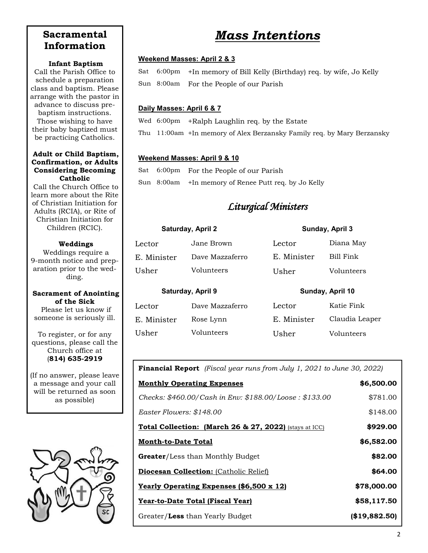## **Sacramental Information**

#### **Infant Baptism**

Call the Parish Office to schedule a preparation class and baptism. Please arrange with the pastor in advance to discuss prebaptism instructions. Those wishing to have their baby baptized must

#### **Adult or Child Baptism, Confirmation, or Adults Considering Becoming Catholic**

be practicing Catholics.

Call the Church Office to learn more about the Rite of Christian Initiation for Adults (RCIA), or Rite of Christian Initiation for Children (RCIC).

#### **Weddings**

Weddings require a 9-month notice and preparation prior to the wedding.

#### **Sacrament of Anointing of the Sick**

Please let us know if someone is seriously ill.

To register, or for any questions, please call the Church office at (**814) 635-2919**

(If no answer, please leave a message and your call will be returned as soon as possible)



# *Mass Intentions*

#### **Weekend Masses: April 2 & 3**

Sat 6:00pm +In memory of Bill Kelly (Birthday) req. by wife, Jo Kelly Sun 8:00am For the People of our Parish

#### **Daily Masses: April 6 & 7**

Wed 6:00pm +Ralph Laughlin req. by the Estate

Thu 11:00am +In memory of Alex Berzansky Family req. by Mary Berzansky

#### **Weekend Masses: April 9 & 10**

Usher Volunteers

Sat 6:00pm For the People of our Parish Sun 8:00am +In memory of Renee Putt req. by Jo Kelly

## *Liturgical Ministers*

| Saturday, April 2 |                 |             | Sunday, April 3  |  |
|-------------------|-----------------|-------------|------------------|--|
| Lector            | Jane Brown      | Lector      | Diana May        |  |
| E. Minister       | Dave Mazzaferro | E. Minister | Bill Fink        |  |
| Usher             | Volunteers      | Usher       | Volunteers       |  |
| Saturday, April 9 |                 |             | Sunday, April 10 |  |
| Lector            | Dave Mazzaferro | Lector      | Katie Fink       |  |
| E. Minister       | Rose Lynn       | E. Minister | Claudia Leaper   |  |

**Financial Report** *(Fiscal year runs from July 1, 2021 to June 30, 2022)*

Usher Volunteers

| <b>Monthly Operating Expenses</b>                                 | \$6,500.00    |
|-------------------------------------------------------------------|---------------|
| Checks: \$460.00/Cash in Env: \$188.00/Loose : \$133.00           | \$781.00      |
| Easter Flowers: \$148.00                                          | \$148.00      |
| <b>Total Collection: (March 26 &amp; 27, 2022)</b> (stays at ICC) | \$929.00      |
| <b>Month-to-Date Total</b>                                        | \$6,582.00    |
| <b>Greater/Less than Monthly Budget</b>                           | \$82.00       |
| <b>Diocesan Collection:</b> (Catholic Relief)                     | \$64.00       |
| <b>Yearly Operating Expenses (\$6,500 x 12)</b>                   | \$78,000.00   |
| Year-to-Date Total (Fiscal Year)                                  | \$58,117.50   |
| Greater/Less than Yearly Budget                                   | (\$19,882.50) |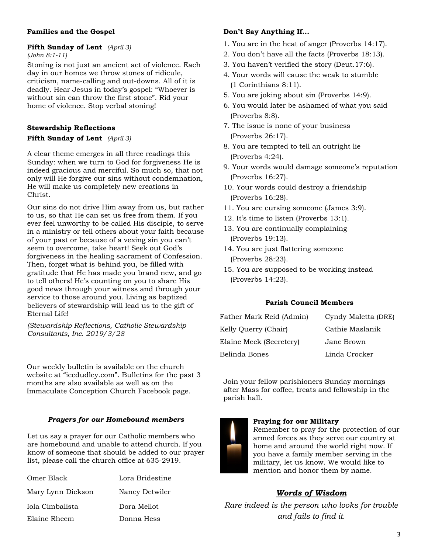#### **Families and the Gospel**

### **Fifth Sunday of Lent** *(April 3)*

*(John 8:1-11)*

Stoning is not just an ancient act of violence. Each day in our homes we throw stones of ridicule, criticism, name-calling and out-downs. All of it is deadly. Hear Jesus in today's gospel: "Whoever is without sin can throw the first stone". Rid your home of violence. Stop verbal stoning!

#### **Stewardship Reflections**

#### **Fifth Sunday of Lent** *(April 3)*

A clear theme emerges in all three readings this Sunday: when we turn to God for forgiveness He is indeed gracious and merciful. So much so, that not only will He forgive our sins without condemnation, He will make us completely new creations in Christ.

Our sins do not drive Him away from us, but rather to us, so that He can set us free from them. If you ever feel unworthy to be called His disciple, to serve in a ministry or tell others about your faith because of your past or because of a vexing sin you can't seem to overcome, take heart! Seek out God's forgiveness in the healing sacrament of Confession. Then, forget what is behind you, be filled with gratitude that He has made you brand new, and go to tell others! He's counting on you to share His good news through your witness and through your service to those around you. Living as baptized believers of stewardship will lead us to the gift of Eternal Life!

*(Stewardship Reflections, Catholic Stewardship Consultants, Inc. 2019/3/28*

Our weekly bulletin is available on the church website at "iccdudley.com". Bulletins for the past 3 months are also available as well as on the Immaculate Conception Church Facebook page.

#### *Prayers for our Homebound members*

Let us say a prayer for our Catholic members who are homebound and unable to attend church. If you know of someone that should be added to our prayer list, please call the church office at 635-2919.

| Omer Black        | Lora Bridestine |
|-------------------|-----------------|
| Mary Lynn Dickson | Nancy Detwiler  |
| Iola Cimbalista   | Dora Mellot     |
| Elaine Rheem      | Donna Hess      |

#### **Don't Say Anything If...**

- 1. You are in the heat of anger (Proverbs 14:17).
- 2. You don't have all the facts (Proverbs 18:13).
- 3. You haven't verified the story (Deut.17:6).
- 4. Your words will cause the weak to stumble (1 Corinthians 8:11).
- 5. You are joking about sin (Proverbs 14:9).
- 6. You would later be ashamed of what you said (Proverbs 8:8).
- 7. The issue is none of your business (Proverbs 26:17).
- 8. You are tempted to tell an outright lie (Proverbs 4:24).
- 9. Your words would damage someone's reputation (Proverbs 16:27).
- 10. Your words could destroy a friendship (Proverbs 16:28).
- 11. You are cursing someone (James 3:9).
- 12. It's time to listen (Proverbs 13:1).
- 13. You are continually complaining (Proverbs 19:13).
- 14. You are just flattering someone (Proverbs 28:23).
- 15. You are supposed to be working instead (Proverbs 14:23).

#### **Parish Council Members**

| Father Mark Reid (Admin) | Cyndy Maletta (DRE) |
|--------------------------|---------------------|
| Kelly Querry (Chair)     | Cathie Maslanik     |
| Elaine Meck (Secretery)  | Jane Brown          |
| Belinda Bones            | Linda Crocker       |

Join your fellow parishioners Sunday mornings after Mass for coffee, treats and fellowship in the parish hall.

#### **Praying for our Military**

Remember to pray for the protection of our armed forces as they serve our country at home and around the world right now. If you have a family member serving in the military, let us know. We would like to mention and honor them by name.

### *Words of Wisdom*

*Rare indeed is the person who looks for trouble and fails to find it.*